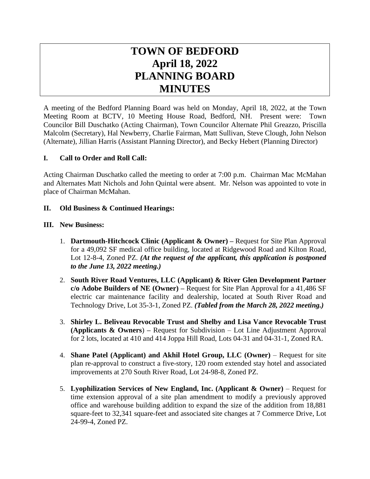# **TOWN OF BEDFORD April 18, 2022 PLANNING BOARD MINUTES**

A meeting of the Bedford Planning Board was held on Monday, April 18, 2022, at the Town Meeting Room at BCTV, 10 Meeting House Road, Bedford, NH. Present were: Town Councilor Bill Duschatko (Acting Chairman), Town Councilor Alternate Phil Greazzo, Priscilla Malcolm (Secretary), Hal Newberry, Charlie Fairman, Matt Sullivan, Steve Clough, John Nelson (Alternate), Jillian Harris (Assistant Planning Director), and Becky Hebert (Planning Director)

# **I. Call to Order and Roll Call:**

Acting Chairman Duschatko called the meeting to order at 7:00 p.m. Chairman Mac McMahan and Alternates Matt Nichols and John Quintal were absent. Mr. Nelson was appointed to vote in place of Chairman McMahan.

### **II. Old Business & Continued Hearings:**

#### **III. New Business:**

- 1. **Dartmouth-Hitchcock Clinic (Applicant & Owner) –** Request for Site Plan Approval for a 49,092 SF medical office building, located at Ridgewood Road and Kilton Road, Lot 12-8-4, Zoned PZ. *(At the request of the applicant, this application is postponed to the June 13, 2022 meeting.)*
- 2. **South River Road Ventures, LLC (Applicant) & River Glen Development Partner c/o Adobe Builders of NE (Owner) –** Request for Site Plan Approval for a 41,486 SF electric car maintenance facility and dealership, located at South River Road and Technology Drive, Lot 35-3-1, Zoned PZ. *(Tabled from the March 28, 2022 meeting.)*
- 3. **Shirley L. Beliveau Revocable Trust and Shelby and Lisa Vance Revocable Trust (Applicants & Owners**) **–** Request for Subdivision – Lot Line Adjustment Approval for 2 lots, located at 410 and 414 Joppa Hill Road, Lots 04-31 and 04-31-1, Zoned RA.
- 4. **Shane Patel (Applicant) and Akhil Hotel Group, LLC (Owner)** Request for site plan re-approval to construct a five-story, 120 room extended stay hotel and associated improvements at 270 South River Road, Lot 24-98-8, Zoned PZ.
- 5. **Lyophilization Services of New England, Inc. (Applicant & Owner)** Request for time extension approval of a site plan amendment to modify a previously approved office and warehouse building addition to expand the size of the addition from 18,881 square-feet to 32,341 square-feet and associated site changes at 7 Commerce Drive, Lot 24-99-4, Zoned PZ.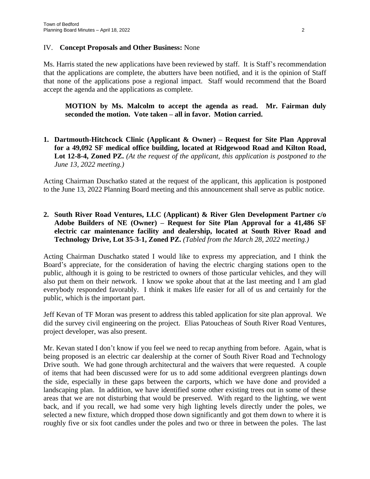#### IV. **Concept Proposals and Other Business:** None

Ms. Harris stated the new applications have been reviewed by staff. It is Staff's recommendation that the applications are complete, the abutters have been notified, and it is the opinion of Staff that none of the applications pose a regional impact. Staff would recommend that the Board accept the agenda and the applications as complete.

#### **MOTION by Ms. Malcolm to accept the agenda as read. Mr. Fairman duly seconded the motion. Vote taken – all in favor. Motion carried.**

# **1. Dartmouth-Hitchcock Clinic (Applicant & Owner) – Request for Site Plan Approval for a 49,092 SF medical office building, located at Ridgewood Road and Kilton Road, Lot 12-8-4, Zoned PZ.** *(At the request of the applicant, this application is postponed to the June 13, 2022 meeting.)*

Acting Chairman Duschatko stated at the request of the applicant, this application is postponed to the June 13, 2022 Planning Board meeting and this announcement shall serve as public notice.

# **2. South River Road Ventures, LLC (Applicant) & River Glen Development Partner c/o Adobe Builders of NE (Owner) – Request for Site Plan Approval for a 41,486 SF electric car maintenance facility and dealership, located at South River Road and Technology Drive, Lot 35-3-1, Zoned PZ.** *(Tabled from the March 28, 2022 meeting.)*

Acting Chairman Duschatko stated I would like to express my appreciation, and I think the Board's appreciate, for the consideration of having the electric charging stations open to the public, although it is going to be restricted to owners of those particular vehicles, and they will also put them on their network. I know we spoke about that at the last meeting and I am glad everybody responded favorably. I think it makes life easier for all of us and certainly for the public, which is the important part.

Jeff Kevan of TF Moran was present to address this tabled application for site plan approval. We did the survey civil engineering on the project. Elias Patoucheas of South River Road Ventures, project developer, was also present.

Mr. Kevan stated I don't know if you feel we need to recap anything from before. Again, what is being proposed is an electric car dealership at the corner of South River Road and Technology Drive south. We had gone through architectural and the waivers that were requested. A couple of items that had been discussed were for us to add some additional evergreen plantings down the side, especially in these gaps between the carports, which we have done and provided a landscaping plan. In addition, we have identified some other existing trees out in some of these areas that we are not disturbing that would be preserved. With regard to the lighting, we went back, and if you recall, we had some very high lighting levels directly under the poles, we selected a new fixture, which dropped those down significantly and got them down to where it is roughly five or six foot candles under the poles and two or three in between the poles. The last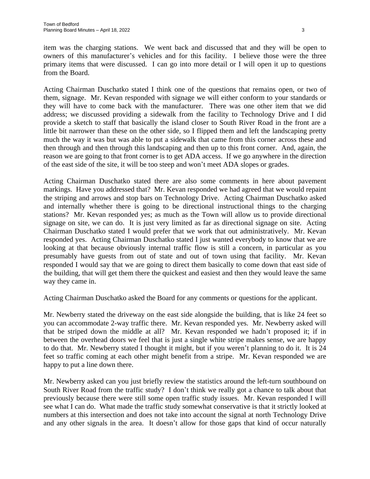item was the charging stations. We went back and discussed that and they will be open to owners of this manufacturer's vehicles and for this facility. I believe those were the three primary items that were discussed. I can go into more detail or I will open it up to questions from the Board.

Acting Chairman Duschatko stated I think one of the questions that remains open, or two of them, signage. Mr. Kevan responded with signage we will either conform to your standards or they will have to come back with the manufacturer. There was one other item that we did address; we discussed providing a sidewalk from the facility to Technology Drive and I did provide a sketch to staff that basically the island closer to South River Road in the front are a little bit narrower than these on the other side, so I flipped them and left the landscaping pretty much the way it was but was able to put a sidewalk that came from this corner across these and then through and then through this landscaping and then up to this front corner. And, again, the reason we are going to that front corner is to get ADA access. If we go anywhere in the direction of the east side of the site, it will be too steep and won't meet ADA slopes or grades.

Acting Chairman Duschatko stated there are also some comments in here about pavement markings. Have you addressed that? Mr. Kevan responded we had agreed that we would repaint the striping and arrows and stop bars on Technology Drive. Acting Chairman Duschatko asked and internally whether there is going to be directional instructional things to the charging stations? Mr. Kevan responded yes; as much as the Town will allow us to provide directional signage on site, we can do. It is just very limited as far as directional signage on site. Acting Chairman Duschatko stated I would prefer that we work that out administratively. Mr. Kevan responded yes. Acting Chairman Duschatko stated I just wanted everybody to know that we are looking at that because obviously internal traffic flow is still a concern, in particular as you presumably have guests from out of state and out of town using that facility. Mr. Kevan responded I would say that we are going to direct them basically to come down that east side of the building, that will get them there the quickest and easiest and then they would leave the same way they came in.

Acting Chairman Duschatko asked the Board for any comments or questions for the applicant.

Mr. Newberry stated the driveway on the east side alongside the building, that is like 24 feet so you can accommodate 2-way traffic there. Mr. Kevan responded yes. Mr. Newberry asked will that be striped down the middle at all? Mr. Kevan responded we hadn't proposed it; if in between the overhead doors we feel that is just a single white stripe makes sense, we are happy to do that. Mr. Newberry stated I thought it might, but if you weren't planning to do it. It is 24 feet so traffic coming at each other might benefit from a stripe. Mr. Kevan responded we are happy to put a line down there.

Mr. Newberry asked can you just briefly review the statistics around the left-turn southbound on South River Road from the traffic study? I don't think we really got a chance to talk about that previously because there were still some open traffic study issues. Mr. Kevan responded I will see what I can do. What made the traffic study somewhat conservative is that it strictly looked at numbers at this intersection and does not take into account the signal at north Technology Drive and any other signals in the area. It doesn't allow for those gaps that kind of occur naturally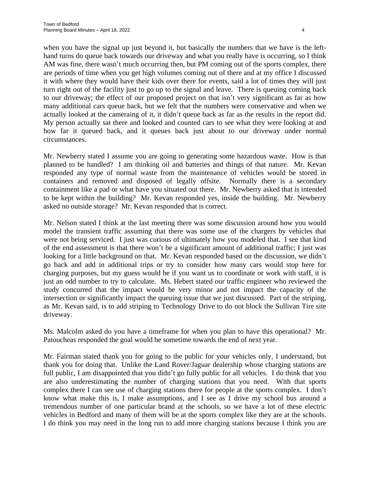when you have the signal up just beyond it, but basically the numbers that we have is the lefthand turns do queue back towards our driveway and what you really have is occurring, so I think AM was fine, there wasn't much occurring then, but PM coming out of the sports complex, there are periods of time when you get high volumes coming out of there and at my office I discussed it with where they would have their kids over there for events, said a lot of times they will just turn right out of the facility just to go up to the signal and leave. There is queuing coming back to our driveway; the effect of our proposed project on that isn't very significant as far as how many additional cars queue back, but we felt that the numbers were conservative and when we actually looked at the cameraing of it, it didn't queue back as far as the results in the report did. My person actually sat there and looked and counted cars to see what they were looking at and how far it queued back, and it queues back just about to our driveway under normal circumstances.

Mr. Newberry stated I assume you are going to generating some hazardous waste. How is that planned to be handled? I am thinking oil and batteries and things of that nature. Mr. Kevan responded any type of normal waste from the maintenance of vehicles would be stored in containers and removed and disposed of legally offsite. Normally there is a secondary containment like a pad or what have you situated out there. Mr. Newberry asked that is intended to be kept within the building? Mr. Kevan responded yes, inside the building. Mr. Newberry asked no outside storage? Mr. Kevan responded that is correct.

Mr. Nelson stated I think at the last meeting there was some discussion around how you would model the transient traffic assuming that there was some use of the chargers by vehicles that were not being serviced. I just was curious of ultimately how you modeled that. I see that kind of the end assessment is that there won't be a significant amount of additional traffic; I just was looking for a little background on that. Mr. Kevan responded based on the discussion, we didn't go back and add in additional trips or try to consider how many cars would stop here for charging purposes, but my guess would be if you want us to coordinate or work with staff, it is just an odd number to try to calculate. Ms. Hebert stated our traffic engineer who reviewed the study concurred that the impact would be very minor and not impact the capacity of the intersection or significantly impact the queuing issue that we just discussed. Part of the striping, as Mr. Kevan said, is to add striping to Technology Drive to do not block the Sullivan Tire site driveway.

Ms. Malcolm asked do you have a timeframe for when you plan to have this operational? Mr. Patoucheas responded the goal would be sometime towards the end of next year.

Mr. Fairman stated thank you for going to the public for your vehicles only, I understand, but thank you for doing that. Unlike the Land Rover/Jaguar dealership whose charging stations are full public, I am disappointed that you didn't go fully public for all vehicles. I do think that you are also underestimating the number of charging stations that you need. With that sports complex there I can see use of charging stations there for people at the sports complex. I don't know what make this is, I make assumptions, and I see as I drive my school bus around a tremendous number of one particular brand at the schools, so we have a lot of these electric vehicles in Bedford and many of them will be at the sports complex like they are at the schools. I do think you may need in the long run to add more charging stations because I think you are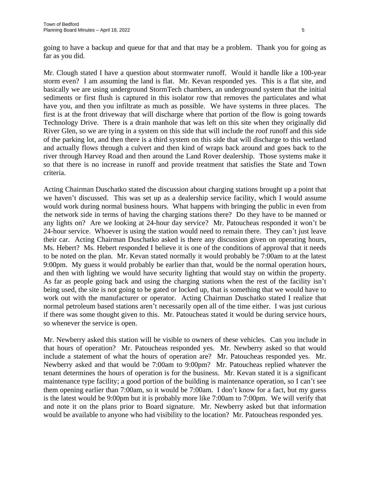going to have a backup and queue for that and that may be a problem. Thank you for going as far as you did.

Mr. Clough stated I have a question about stormwater runoff. Would it handle like a 100-year storm even? I am assuming the land is flat. Mr. Kevan responded yes. This is a flat site, and basically we are using underground StormTech chambers, an underground system that the initial sediments or first flush is captured in this isolator row that removes the particulates and what have you, and then you infiltrate as much as possible. We have systems in three places. The first is at the front driveway that will discharge where that portion of the flow is going towards Technology Drive. There is a drain manhole that was left on this site when they originally did River Glen, so we are tying in a system on this side that will include the roof runoff and this side of the parking lot, and then there is a third system on this side that will discharge to this wetland and actually flows through a culvert and then kind of wraps back around and goes back to the river through Harvey Road and then around the Land Rover dealership. Those systems make it so that there is no increase in runoff and provide treatment that satisfies the State and Town criteria.

Acting Chairman Duschatko stated the discussion about charging stations brought up a point that we haven't discussed. This was set up as a dealership service facility, which I would assume would work during normal business hours. What happens with bringing the public in even from the network side in terms of having the charging stations there? Do they have to be manned or any lights on? Are we looking at 24-hour day service? Mr. Patoucheas responded it won't be 24-hour service. Whoever is using the station would need to remain there. They can't just leave their car. Acting Chairman Duschatko asked is there any discussion given on operating hours, Ms. Hebert? Ms. Hebert responded I believe it is one of the conditions of approval that it needs to be noted on the plan. Mr. Kevan stated normally it would probably be 7:00am to at the latest 9:00pm. My guess it would probably be earlier than that, would be the normal operation hours, and then with lighting we would have security lighting that would stay on within the property. As far as people going back and using the charging stations when the rest of the facility isn't being used, the site is not going to be gated or locked up, that is something that we would have to work out with the manufacturer or operator. Acting Chairman Duschatko stated I realize that normal petroleum based stations aren't necessarily open all of the time either. I was just curious if there was some thought given to this. Mr. Patoucheas stated it would be during service hours, so whenever the service is open.

Mr. Newberry asked this station will be visible to owners of these vehicles. Can you include in that hours of operation? Mr. Patoucheas responded yes. Mr. Newberry asked so that would include a statement of what the hours of operation are? Mr. Patoucheas responded yes. Mr. Newberry asked and that would be 7:00am to 9:00pm? Mr. Patoucheas replied whatever the tenant determines the hours of operation is for the business. Mr. Kevan stated it is a significant maintenance type facility; a good portion of the building is maintenance operation, so I can't see them opening earlier than 7:00am, so it would be 7:00am. I don't know for a fact, but my guess is the latest would be 9:00pm but it is probably more like 7:00am to 7:00pm. We will verify that and note it on the plans prior to Board signature. Mr. Newberry asked but that information would be available to anyone who had visibility to the location? Mr. Patoucheas responded yes.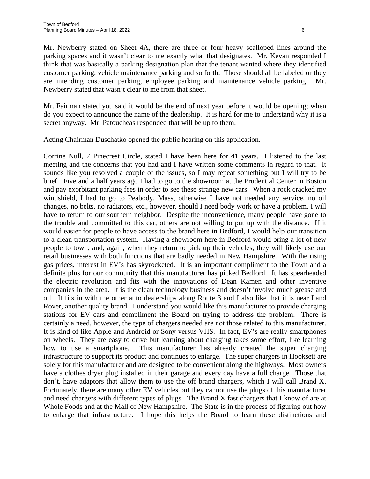Mr. Newberry stated on Sheet 4A, there are three or four heavy scalloped lines around the parking spaces and it wasn't clear to me exactly what that designates. Mr. Kevan responded I think that was basically a parking designation plan that the tenant wanted where they identified customer parking, vehicle maintenance parking and so forth. Those should all be labeled or they are intending customer parking, employee parking and maintenance vehicle parking. Mr. Newberry stated that wasn't clear to me from that sheet.

Mr. Fairman stated you said it would be the end of next year before it would be opening; when do you expect to announce the name of the dealership. It is hard for me to understand why it is a secret anyway. Mr. Patoucheas responded that will be up to them.

Acting Chairman Duschatko opened the public hearing on this application.

Corrine Null, 7 Pinecrest Circle, stated I have been here for 41 years. I listened to the last meeting and the concerns that you had and I have written some comments in regard to that. It sounds like you resolved a couple of the issues, so I may repeat something but I will try to be brief. Five and a half years ago I had to go to the showroom at the Prudential Center in Boston and pay exorbitant parking fees in order to see these strange new cars. When a rock cracked my windshield, I had to go to Peabody, Mass, otherwise I have not needed any service, no oil changes, no belts, no radiators, etc., however, should I need body work or have a problem, I will have to return to our southern neighbor. Despite the inconvenience, many people have gone to the trouble and committed to this car, others are not willing to put up with the distance. If it would easier for people to have access to the brand here in Bedford, I would help our transition to a clean transportation system. Having a showroom here in Bedford would bring a lot of new people to town, and, again, when they return to pick up their vehicles, they will likely use our retail businesses with both functions that are badly needed in New Hampshire. With the rising gas prices, interest in EV's has skyrocketed. It is an important compliment to the Town and a definite plus for our community that this manufacturer has picked Bedford. It has spearheaded the electric revolution and fits with the innovations of Dean Kamen and other inventive companies in the area. It is the clean technology business and doesn't involve much grease and oil. It fits in with the other auto dealerships along Route 3 and I also like that it is near Land Rover, another quality brand. I understand you would like this manufacturer to provide charging stations for EV cars and compliment the Board on trying to address the problem. There is certainly a need, however, the type of chargers needed are not those related to this manufacturer. It is kind of like Apple and Android or Sony versus VHS. In fact, EV's are really smartphones on wheels. They are easy to drive but learning about charging takes some effort, like learning how to use a smartphone. This manufacturer has already created the super charging infrastructure to support its product and continues to enlarge. The super chargers in Hooksett are solely for this manufacturer and are designed to be convenient along the highways. Most owners have a clothes dryer plug installed in their garage and every day have a full charge. Those that don't, have adaptors that allow them to use the off brand chargers, which I will call Brand X. Fortunately, there are many other EV vehicles but they cannot use the plugs of this manufacturer and need chargers with different types of plugs. The Brand X fast chargers that I know of are at Whole Foods and at the Mall of New Hampshire. The State is in the process of figuring out how to enlarge that infrastructure. I hope this helps the Board to learn these distinctions and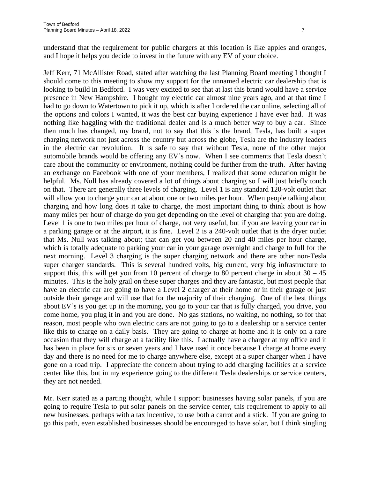understand that the requirement for public chargers at this location is like apples and oranges, and I hope it helps you decide to invest in the future with any EV of your choice.

Jeff Kerr, 71 McAllister Road, stated after watching the last Planning Board meeting I thought I should come to this meeting to show my support for the unnamed electric car dealership that is looking to build in Bedford. I was very excited to see that at last this brand would have a service presence in New Hampshire. I bought my electric car almost nine years ago, and at that time I had to go down to Watertown to pick it up, which is after I ordered the car online, selecting all of the options and colors I wanted, it was the best car buying experience I have ever had. It was nothing like haggling with the traditional dealer and is a much better way to buy a car. Since then much has changed, my brand, not to say that this is the brand, Tesla, has built a super charging network not just across the country but across the globe, Tesla are the industry leaders in the electric car revolution. It is safe to say that without Tesla, none of the other major automobile brands would be offering any EV's now. When I see comments that Tesla doesn't care about the community or environment, nothing could be further from the truth. After having an exchange on Facebook with one of your members, I realized that some education might be helpful. Ms. Null has already covered a lot of things about charging so I will just briefly touch on that. There are generally three levels of charging. Level 1 is any standard 120-volt outlet that will allow you to charge your car at about one or two miles per hour. When people talking about charging and how long does it take to charge, the most important thing to think about is how many miles per hour of charge do you get depending on the level of charging that you are doing. Level 1 is one to two miles per hour of charge, not very useful, but if you are leaving your car in a parking garage or at the airport, it is fine. Level 2 is a 240-volt outlet that is the dryer outlet that Ms. Null was talking about; that can get you between 20 and 40 miles per hour charge, which is totally adequate to parking your car in your garage overnight and charge to full for the next morning. Level 3 charging is the super charging network and there are other non-Tesla super charger standards. This is several hundred volts, big current, very big infrastructure to support this, this will get you from 10 percent of charge to 80 percent charge in about  $30 - 45$ minutes. This is the holy grail on these super charges and they are fantastic, but most people that have an electric car are going to have a Level 2 charger at their home or in their garage or just outside their garage and will use that for the majority of their charging. One of the best things about EV's is you get up in the morning, you go to your car that is fully charged, you drive, you come home, you plug it in and you are done. No gas stations, no waiting, no nothing, so for that reason, most people who own electric cars are not going to go to a dealership or a service center like this to charge on a daily basis. They are going to charge at home and it is only on a rare occasion that they will charge at a facility like this. I actually have a charger at my office and it has been in place for six or seven years and I have used it once because I charge at home every day and there is no need for me to charge anywhere else, except at a super charger when I have gone on a road trip. I appreciate the concern about trying to add charging facilities at a service center like this, but in my experience going to the different Tesla dealerships or service centers, they are not needed.

Mr. Kerr stated as a parting thought, while I support businesses having solar panels, if you are going to require Tesla to put solar panels on the service center, this requirement to apply to all new businesses, perhaps with a tax incentive, to use both a carrot and a stick. If you are going to go this path, even established businesses should be encouraged to have solar, but I think singling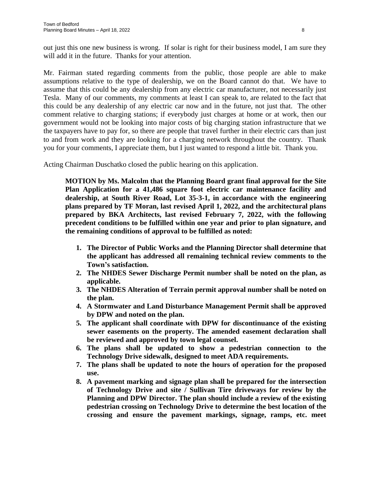out just this one new business is wrong. If solar is right for their business model, I am sure they will add it in the future. Thanks for your attention.

Mr. Fairman stated regarding comments from the public, those people are able to make assumptions relative to the type of dealership, we on the Board cannot do that. We have to assume that this could be any dealership from any electric car manufacturer, not necessarily just Tesla. Many of our comments, my comments at least I can speak to, are related to the fact that this could be any dealership of any electric car now and in the future, not just that. The other comment relative to charging stations; if everybody just charges at home or at work, then our government would not be looking into major costs of big charging station infrastructure that we the taxpayers have to pay for, so there are people that travel further in their electric cars than just to and from work and they are looking for a charging network throughout the country. Thank you for your comments, I appreciate them, but I just wanted to respond a little bit. Thank you.

Acting Chairman Duschatko closed the public hearing on this application.

**MOTION by Ms. Malcolm that the Planning Board grant final approval for the Site Plan Application for a 41,486 square foot electric car maintenance facility and dealership, at South River Road, Lot 35-3-1, in accordance with the engineering plans prepared by TF Moran, last revised April 1, 2022, and the architectural plans prepared by BKA Architects, last revised February 7, 2022, with the following precedent conditions to be fulfilled within one year and prior to plan signature, and the remaining conditions of approval to be fulfilled as noted:**

- **1. The Director of Public Works and the Planning Director shall determine that the applicant has addressed all remaining technical review comments to the Town's satisfaction.**
- **2. The NHDES Sewer Discharge Permit number shall be noted on the plan, as applicable.**
- **3. The NHDES Alteration of Terrain permit approval number shall be noted on the plan.**
- **4. A Stormwater and Land Disturbance Management Permit shall be approved by DPW and noted on the plan.**
- **5. The applicant shall coordinate with DPW for discontinuance of the existing sewer easements on the property. The amended easement declaration shall be reviewed and approved by town legal counsel.**
- **6. The plans shall be updated to show a pedestrian connection to the Technology Drive sidewalk, designed to meet ADA requirements.**
- **7. The plans shall be updated to note the hours of operation for the proposed use.**
- **8. A pavement marking and signage plan shall be prepared for the intersection of Technology Drive and site / Sullivan Tire driveways for review by the Planning and DPW Director. The plan should include a review of the existing pedestrian crossing on Technology Drive to determine the best location of the crossing and ensure the pavement markings, signage, ramps, etc. meet**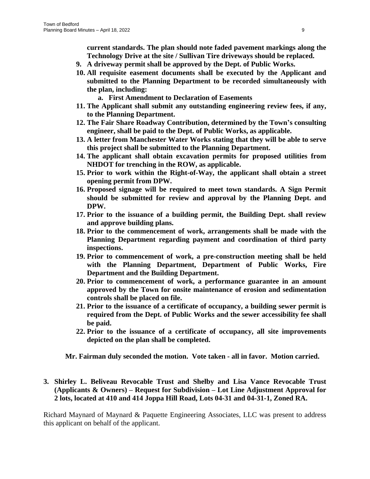**current standards. The plan should note faded pavement markings along the Technology Drive at the site / Sullivan Tire driveways should be replaced.** 

- **9. A driveway permit shall be approved by the Dept. of Public Works.**
- **10. All requisite easement documents shall be executed by the Applicant and submitted to the Planning Department to be recorded simultaneously with the plan, including:**
	- **a. First Amendment to Declaration of Easements**
- **11. The Applicant shall submit any outstanding engineering review fees, if any, to the Planning Department.**
- **12. The Fair Share Roadway Contribution, determined by the Town's consulting engineer, shall be paid to the Dept. of Public Works, as applicable.**
- **13. A letter from Manchester Water Works stating that they will be able to serve this project shall be submitted to the Planning Department.**
- **14. The applicant shall obtain excavation permits for proposed utilities from NHDOT for trenching in the ROW, as applicable.**
- **15. Prior to work within the Right-of-Way, the applicant shall obtain a street opening permit from DPW.**
- **16. Proposed signage will be required to meet town standards. A Sign Permit should be submitted for review and approval by the Planning Dept. and DPW.**
- **17. Prior to the issuance of a building permit, the Building Dept. shall review and approve building plans.**
- **18. Prior to the commencement of work, arrangements shall be made with the Planning Department regarding payment and coordination of third party inspections.**
- **19. Prior to commencement of work, a pre-construction meeting shall be held with the Planning Department, Department of Public Works, Fire Department and the Building Department.**
- **20. Prior to commencement of work, a performance guarantee in an amount approved by the Town for onsite maintenance of erosion and sedimentation controls shall be placed on file.**
- **21. Prior to the issuance of a certificate of occupancy, a building sewer permit is required from the Dept. of Public Works and the sewer accessibility fee shall be paid.**
- **22. Prior to the issuance of a certificate of occupancy, all site improvements depicted on the plan shall be completed.**

**Mr. Fairman duly seconded the motion. Vote taken - all in favor. Motion carried.**

# **3. Shirley L. Beliveau Revocable Trust and Shelby and Lisa Vance Revocable Trust (Applicants & Owners) – Request for Subdivision – Lot Line Adjustment Approval for 2 lots, located at 410 and 414 Joppa Hill Road, Lots 04-31 and 04-31-1, Zoned RA.**

Richard Maynard of Maynard & Paquette Engineering Associates, LLC was present to address this applicant on behalf of the applicant.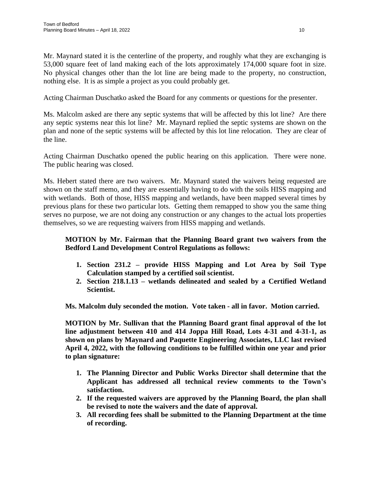Mr. Maynard stated it is the centerline of the property, and roughly what they are exchanging is 53,000 square feet of land making each of the lots approximately 174,000 square foot in size. No physical changes other than the lot line are being made to the property, no construction, nothing else. It is as simple a project as you could probably get.

Acting Chairman Duschatko asked the Board for any comments or questions for the presenter.

Ms. Malcolm asked are there any septic systems that will be affected by this lot line? Are there any septic systems near this lot line? Mr. Maynard replied the septic systems are shown on the plan and none of the septic systems will be affected by this lot line relocation. They are clear of the line.

Acting Chairman Duschatko opened the public hearing on this application. There were none. The public hearing was closed.

Ms. Hebert stated there are two waivers. Mr. Maynard stated the waivers being requested are shown on the staff memo, and they are essentially having to do with the soils HISS mapping and with wetlands. Both of those, HISS mapping and wetlands, have been mapped several times by previous plans for these two particular lots. Getting them remapped to show you the same thing serves no purpose, we are not doing any construction or any changes to the actual lots properties themselves, so we are requesting waivers from HISS mapping and wetlands.

# **MOTION by Mr. Fairman that the Planning Board grant two waivers from the Bedford Land Development Control Regulations as follows:**

- **1. Section 231.2 – provide HISS Mapping and Lot Area by Soil Type Calculation stamped by a certified soil scientist.**
- **2. Section 218.1.13 – wetlands delineated and sealed by a Certified Wetland Scientist.**

**Ms. Malcolm duly seconded the motion. Vote taken - all in favor. Motion carried.**

**MOTION by Mr. Sullivan that the Planning Board grant final approval of the lot line adjustment between 410 and 414 Joppa Hill Road, Lots 4-31 and 4-31-1, as shown on plans by Maynard and Paquette Engineering Associates, LLC last revised April 4, 2022, with the following conditions to be fulfilled within one year and prior to plan signature:**

- **1. The Planning Director and Public Works Director shall determine that the Applicant has addressed all technical review comments to the Town's satisfaction.**
- **2. If the requested waivers are approved by the Planning Board, the plan shall be revised to note the waivers and the date of approval.**
- **3. All recording fees shall be submitted to the Planning Department at the time of recording.**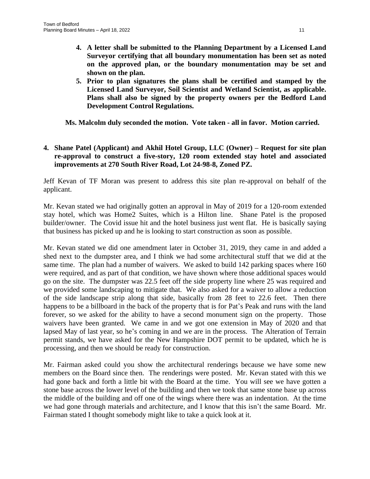- **4. A letter shall be submitted to the Planning Department by a Licensed Land Surveyor certifying that all boundary monumentation has been set as noted on the approved plan, or the boundary monumentation may be set and shown on the plan.**
- **5. Prior to plan signatures the plans shall be certified and stamped by the Licensed Land Surveyor, Soil Scientist and Wetland Scientist, as applicable. Plans shall also be signed by the property owners per the Bedford Land Development Control Regulations.**

**Ms. Malcolm duly seconded the motion. Vote taken - all in favor. Motion carried.**

### **4. Shane Patel (Applicant) and Akhil Hotel Group, LLC (Owner) – Request for site plan re-approval to construct a five-story, 120 room extended stay hotel and associated improvements at 270 South River Road, Lot 24-98-8, Zoned PZ.**

Jeff Kevan of TF Moran was present to address this site plan re-approval on behalf of the applicant.

Mr. Kevan stated we had originally gotten an approval in May of 2019 for a 120-room extended stay hotel, which was Home2 Suites, which is a Hilton line. Shane Patel is the proposed builder/owner. The Covid issue hit and the hotel business just went flat. He is basically saying that business has picked up and he is looking to start construction as soon as possible.

Mr. Kevan stated we did one amendment later in October 31, 2019, they came in and added a shed next to the dumpster area, and I think we had some architectural stuff that we did at the same time. The plan had a number of waivers. We asked to build 142 parking spaces where 160 were required, and as part of that condition, we have shown where those additional spaces would go on the site. The dumpster was 22.5 feet off the side property line where 25 was required and we provided some landscaping to mitigate that. We also asked for a waiver to allow a reduction of the side landscape strip along that side, basically from 28 feet to 22.6 feet. Then there happens to be a billboard in the back of the property that is for Pat's Peak and runs with the land forever, so we asked for the ability to have a second monument sign on the property. Those waivers have been granted. We came in and we got one extension in May of 2020 and that lapsed May of last year, so he's coming in and we are in the process. The Alteration of Terrain permit stands, we have asked for the New Hampshire DOT permit to be updated, which he is processing, and then we should be ready for construction.

Mr. Fairman asked could you show the architectural renderings because we have some new members on the Board since then. The renderings were posted. Mr. Kevan stated with this we had gone back and forth a little bit with the Board at the time. You will see we have gotten a stone base across the lower level of the building and then we took that same stone base up across the middle of the building and off one of the wings where there was an indentation. At the time we had gone through materials and architecture, and I know that this isn't the same Board. Mr. Fairman stated I thought somebody might like to take a quick look at it.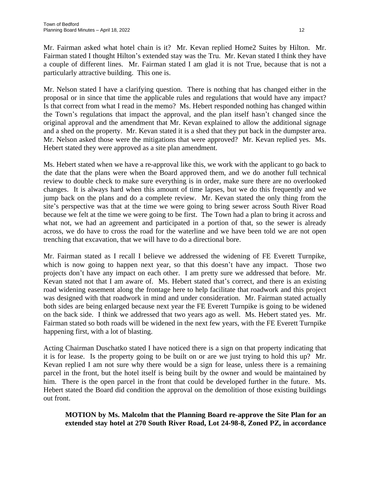Mr. Fairman asked what hotel chain is it? Mr. Kevan replied Home2 Suites by Hilton. Mr. Fairman stated I thought Hilton's extended stay was the Tru. Mr. Kevan stated I think they have a couple of different lines. Mr. Fairman stated I am glad it is not True, because that is not a particularly attractive building. This one is.

Mr. Nelson stated I have a clarifying question. There is nothing that has changed either in the proposal or in since that time the applicable rules and regulations that would have any impact? Is that correct from what I read in the memo? Ms. Hebert responded nothing has changed within the Town's regulations that impact the approval, and the plan itself hasn't changed since the original approval and the amendment that Mr. Kevan explained to allow the additional signage and a shed on the property. Mr. Kevan stated it is a shed that they put back in the dumpster area. Mr. Nelson asked those were the mitigations that were approved? Mr. Kevan replied yes. Ms. Hebert stated they were approved as a site plan amendment.

Ms. Hebert stated when we have a re-approval like this, we work with the applicant to go back to the date that the plans were when the Board approved them, and we do another full technical review to double check to make sure everything is in order, make sure there are no overlooked changes. It is always hard when this amount of time lapses, but we do this frequently and we jump back on the plans and do a complete review. Mr. Kevan stated the only thing from the site's perspective was that at the time we were going to bring sewer across South River Road because we felt at the time we were going to be first. The Town had a plan to bring it across and what not, we had an agreement and participated in a portion of that, so the sewer is already across, we do have to cross the road for the waterline and we have been told we are not open trenching that excavation, that we will have to do a directional bore.

Mr. Fairman stated as I recall I believe we addressed the widening of FE Everett Turnpike, which is now going to happen next year, so that this doesn't have any impact. Those two projects don't have any impact on each other. I am pretty sure we addressed that before. Mr. Kevan stated not that I am aware of. Ms. Hebert stated that's correct, and there is an existing road widening easement along the frontage here to help facilitate that roadwork and this project was designed with that roadwork in mind and under consideration. Mr. Fairman stated actually both sides are being enlarged because next year the FE Everett Turnpike is going to be widened on the back side. I think we addressed that two years ago as well. Ms. Hebert stated yes. Mr. Fairman stated so both roads will be widened in the next few years, with the FE Everett Turnpike happening first, with a lot of blasting.

Acting Chairman Duschatko stated I have noticed there is a sign on that property indicating that it is for lease. Is the property going to be built on or are we just trying to hold this up? Mr. Kevan replied I am not sure why there would be a sign for lease, unless there is a remaining parcel in the front, but the hotel itself is being built by the owner and would be maintained by him. There is the open parcel in the front that could be developed further in the future. Ms. Hebert stated the Board did condition the approval on the demolition of those existing buildings out front.

### **MOTION by Ms. Malcolm that the Planning Board re-approve the Site Plan for an extended stay hotel at 270 South River Road, Lot 24-98-8, Zoned PZ, in accordance**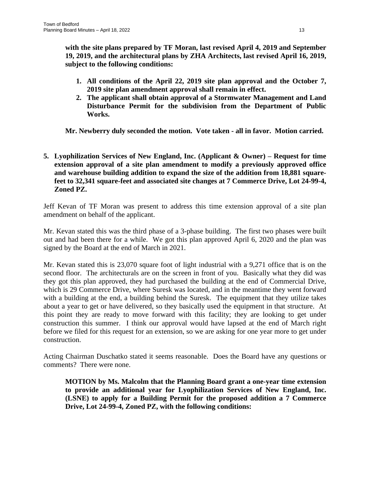**with the site plans prepared by TF Moran, last revised April 4, 2019 and September 19, 2019, and the architectural plans by ZHA Architects, last revised April 16, 2019, subject to the following conditions:**

- **1. All conditions of the April 22, 2019 site plan approval and the October 7, 2019 site plan amendment approval shall remain in effect.**
- **2. The applicant shall obtain approval of a Stormwater Management and Land Disturbance Permit for the subdivision from the Department of Public Works.**

**Mr. Newberry duly seconded the motion. Vote taken - all in favor. Motion carried.**

# **5. Lyophilization Services of New England, Inc. (Applicant & Owner) – Request for time extension approval of a site plan amendment to modify a previously approved office and warehouse building addition to expand the size of the addition from 18,881 squarefeet to 32,341 square-feet and associated site changes at 7 Commerce Drive, Lot 24-99-4, Zoned PZ.**

Jeff Kevan of TF Moran was present to address this time extension approval of a site plan amendment on behalf of the applicant.

Mr. Kevan stated this was the third phase of a 3-phase building. The first two phases were built out and had been there for a while. We got this plan approved April 6, 2020 and the plan was signed by the Board at the end of March in 2021.

Mr. Kevan stated this is 23,070 square foot of light industrial with a 9,271 office that is on the second floor. The architecturals are on the screen in front of you. Basically what they did was they got this plan approved, they had purchased the building at the end of Commercial Drive, which is 29 Commerce Drive, where Suresk was located, and in the meantime they went forward with a building at the end, a building behind the Suresk. The equipment that they utilize takes about a year to get or have delivered, so they basically used the equipment in that structure. At this point they are ready to move forward with this facility; they are looking to get under construction this summer. I think our approval would have lapsed at the end of March right before we filed for this request for an extension, so we are asking for one year more to get under construction.

Acting Chairman Duschatko stated it seems reasonable. Does the Board have any questions or comments? There were none.

**MOTION by Ms. Malcolm that the Planning Board grant a one-year time extension to provide an additional year for Lyophilization Services of New England, Inc. (LSNE) to apply for a Building Permit for the proposed addition a 7 Commerce Drive, Lot 24-99-4, Zoned PZ, with the following conditions:**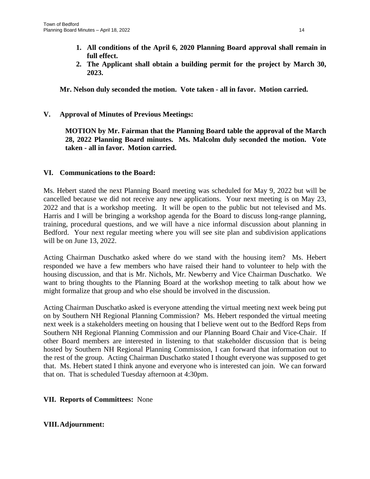- **1. All conditions of the April 6, 2020 Planning Board approval shall remain in full effect.**
- **2. The Applicant shall obtain a building permit for the project by March 30, 2023.**

**Mr. Nelson duly seconded the motion. Vote taken - all in favor. Motion carried.**

**V. Approval of Minutes of Previous Meetings:**

**MOTION by Mr. Fairman that the Planning Board table the approval of the March 28, 2022 Planning Board minutes. Ms. Malcolm duly seconded the motion. Vote taken - all in favor. Motion carried.**

### **VI. Communications to the Board:**

Ms. Hebert stated the next Planning Board meeting was scheduled for May 9, 2022 but will be cancelled because we did not receive any new applications. Your next meeting is on May 23, 2022 and that is a workshop meeting. It will be open to the public but not televised and Ms. Harris and I will be bringing a workshop agenda for the Board to discuss long-range planning, training, procedural questions, and we will have a nice informal discussion about planning in Bedford. Your next regular meeting where you will see site plan and subdivision applications will be on June 13, 2022.

Acting Chairman Duschatko asked where do we stand with the housing item? Ms. Hebert responded we have a few members who have raised their hand to volunteer to help with the housing discussion, and that is Mr. Nichols, Mr. Newberry and Vice Chairman Duschatko. We want to bring thoughts to the Planning Board at the workshop meeting to talk about how we might formalize that group and who else should be involved in the discussion.

Acting Chairman Duschatko asked is everyone attending the virtual meeting next week being put on by Southern NH Regional Planning Commission? Ms. Hebert responded the virtual meeting next week is a stakeholders meeting on housing that I believe went out to the Bedford Reps from Southern NH Regional Planning Commission and our Planning Board Chair and Vice-Chair. If other Board members are interested in listening to that stakeholder discussion that is being hosted by Southern NH Regional Planning Commission, I can forward that information out to the rest of the group. Acting Chairman Duschatko stated I thought everyone was supposed to get that. Ms. Hebert stated I think anyone and everyone who is interested can join. We can forward that on. That is scheduled Tuesday afternoon at 4:30pm.

#### **VII. Reports of Committees:** None

# **VIII.Adjournment:**